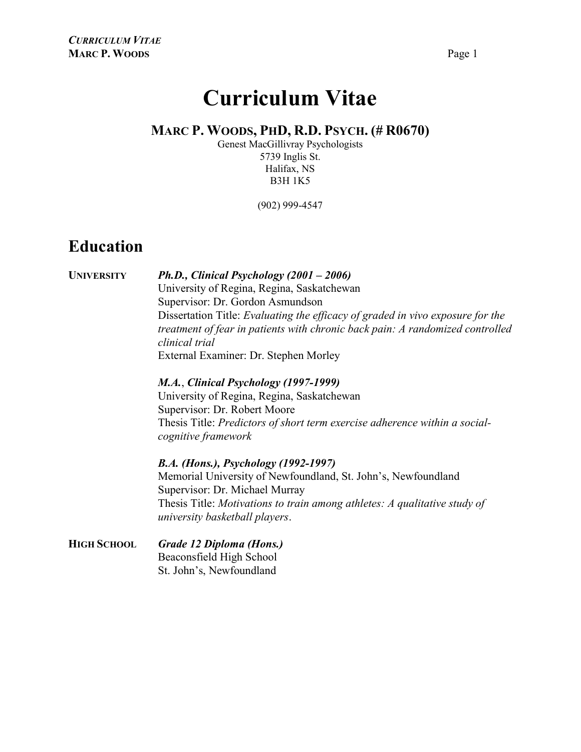# Curriculum Vitae

#### MARC P. WOODS, PHD, R.D. PSYCH. (# R0670)

Genest MacGillivray Psychologists 5739 Inglis St. Halifax, NS B3H 1K5

(902) 999-4547

#### Education

UNIVERSITY Ph.D., Clinical Psychology (2001 – 2006) University of Regina, Regina, Saskatchewan Supervisor: Dr. Gordon Asmundson Dissertation Title: Evaluating the efficacy of graded in vivo exposure for the treatment of fear in patients with chronic back pain: A randomized controlled clinical trial External Examiner: Dr. Stephen Morley

> M.A., Clinical Psychology (1997-1999) University of Regina, Regina, Saskatchewan Supervisor: Dr. Robert Moore Thesis Title: Predictors of short term exercise adherence within a social cognitive framework

B.A. (Hons.), Psychology (1992-1997)

Memorial University of Newfoundland, St. John's, Newfoundland Supervisor: Dr. Michael Murray Thesis Title: Motivations to train among athletes: A qualitative study of university basketball players.

HIGH SCHOOL Grade 12 Diploma (Hons.) Beaconsfield High School St. John's, Newfoundland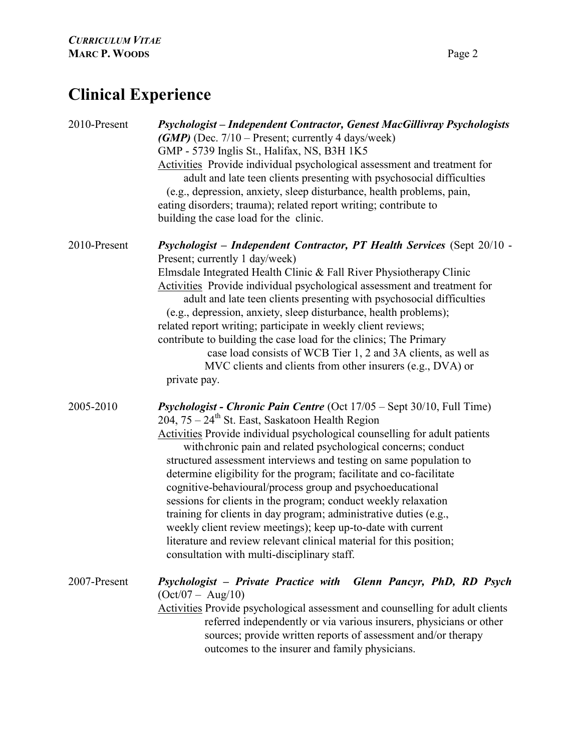## Clinical Experience

| 2010-Present | Psychologist - Independent Contractor, Genest MacGillivray Psychologists<br>(GMP) (Dec. $7/10$ – Present; currently 4 days/week)<br>GMP - 5739 Inglis St., Halifax, NS, B3H 1K5<br>Activities Provide individual psychological assessment and treatment for<br>adult and late teen clients presenting with psychosocial difficulties<br>(e.g., depression, anxiety, sleep disturbance, health problems, pain,<br>eating disorders; trauma); related report writing; contribute to<br>building the case load for the clinic.                                                                                                                                                                                                                                                                                                                |
|--------------|--------------------------------------------------------------------------------------------------------------------------------------------------------------------------------------------------------------------------------------------------------------------------------------------------------------------------------------------------------------------------------------------------------------------------------------------------------------------------------------------------------------------------------------------------------------------------------------------------------------------------------------------------------------------------------------------------------------------------------------------------------------------------------------------------------------------------------------------|
| 2010-Present | Psychologist - Independent Contractor, PT Health Services (Sept 20/10 -<br>Present; currently 1 day/week)<br>Elmsdale Integrated Health Clinic & Fall River Physiotherapy Clinic<br>Activities Provide individual psychological assessment and treatment for<br>adult and late teen clients presenting with psychosocial difficulties<br>(e.g., depression, anxiety, sleep disturbance, health problems);<br>related report writing; participate in weekly client reviews;<br>contribute to building the case load for the clinics; The Primary<br>case load consists of WCB Tier 1, 2 and 3A clients, as well as<br>MVC clients and clients from other insurers (e.g., DVA) or<br>private pay.                                                                                                                                            |
| 2005-2010    | <b>Psychologist - Chronic Pain Centre</b> (Oct $17/05$ – Sept $30/10$ , Full Time)<br>$204, 75 - 24$ <sup>th</sup> St. East, Saskatoon Health Region<br>Activities Provide individual psychological counselling for adult patients<br>with chronic pain and related psychological concerns; conduct<br>structured assessment interviews and testing on same population to<br>determine eligibility for the program; facilitate and co-facilitate<br>cognitive-behavioural/process group and psychoeducational<br>sessions for clients in the program; conduct weekly relaxation<br>training for clients in day program; administrative duties (e.g.,<br>weekly client review meetings); keep up-to-date with current<br>literature and review relevant clinical material for this position;<br>consultation with multi-disciplinary staff. |
| 2007-Present | Psychologist - Private Practice with Glenn Pancyr, PhD, RD Psych<br>$(Oct/07 - Aug/10)$<br>Activities Provide psychological assessment and counselling for adult clients<br>referred independently or via various insurers, physicians or other<br>sources; provide written reports of assessment and/or therapy<br>outcomes to the insurer and family physicians.                                                                                                                                                                                                                                                                                                                                                                                                                                                                         |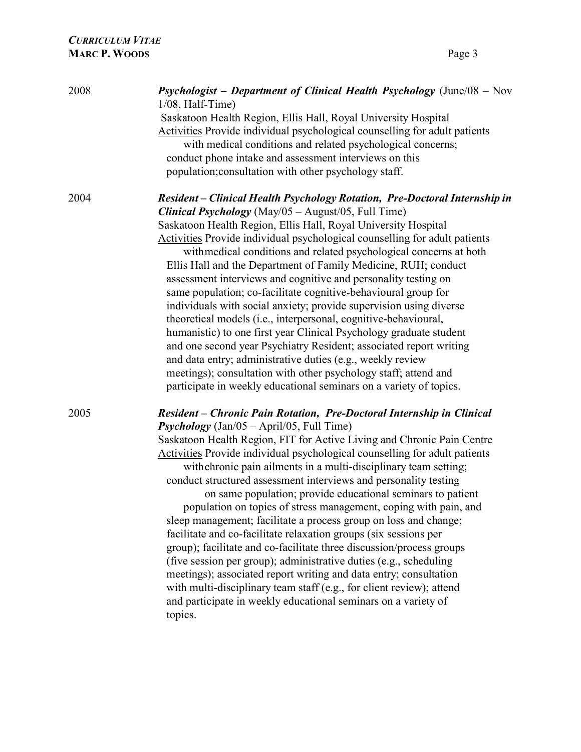| 2008 | Psychologist - Department of Clinical Health Psychology (June/08 - Nov<br>$1/08$ , Half-Time)<br>Saskatoon Health Region, Ellis Hall, Royal University Hospital<br>Activities Provide individual psychological counselling for adult patients<br>with medical conditions and related psychological concerns;<br>conduct phone intake and assessment interviews on this<br>population; consultation with other psychology staff.                                                                                                                                                                                                                                                                                                                                                                                                                                                                                                                                                                                                                                             |
|------|-----------------------------------------------------------------------------------------------------------------------------------------------------------------------------------------------------------------------------------------------------------------------------------------------------------------------------------------------------------------------------------------------------------------------------------------------------------------------------------------------------------------------------------------------------------------------------------------------------------------------------------------------------------------------------------------------------------------------------------------------------------------------------------------------------------------------------------------------------------------------------------------------------------------------------------------------------------------------------------------------------------------------------------------------------------------------------|
| 2004 | Resident - Clinical Health Psychology Rotation, Pre-Doctoral Internship in<br><b>Clinical Psychology</b> (May/05 - August/05, Full Time)<br>Saskatoon Health Region, Ellis Hall, Royal University Hospital<br>Activities Provide individual psychological counselling for adult patients<br>with medical conditions and related psychological concerns at both<br>Ellis Hall and the Department of Family Medicine, RUH; conduct<br>assessment interviews and cognitive and personality testing on<br>same population; co-facilitate cognitive-behavioural group for<br>individuals with social anxiety; provide supervision using diverse<br>theoretical models (i.e., interpersonal, cognitive-behavioural,<br>humanistic) to one first year Clinical Psychology graduate student<br>and one second year Psychiatry Resident; associated report writing<br>and data entry; administrative duties (e.g., weekly review<br>meetings); consultation with other psychology staff; attend and<br>participate in weekly educational seminars on a variety of topics.            |
| 2005 | Resident - Chronic Pain Rotation, Pre-Doctoral Internship in Clinical<br><b>Psychology</b> (Jan/05 – April/05, Full Time)<br>Saskatoon Health Region, FIT for Active Living and Chronic Pain Centre<br>Activities Provide individual psychological counselling for adult patients<br>with chronic pain ailments in a multi-disciplinary team setting;<br>conduct structured assessment interviews and personality testing<br>on same population; provide educational seminars to patient<br>population on topics of stress management, coping with pain, and<br>sleep management; facilitate a process group on loss and change;<br>facilitate and co-facilitate relaxation groups (six sessions per<br>group); facilitate and co-facilitate three discussion/process groups<br>(five session per group); administrative duties (e.g., scheduling<br>meetings); associated report writing and data entry; consultation<br>with multi-disciplinary team staff (e.g., for client review); attend<br>and participate in weekly educational seminars on a variety of<br>topics. |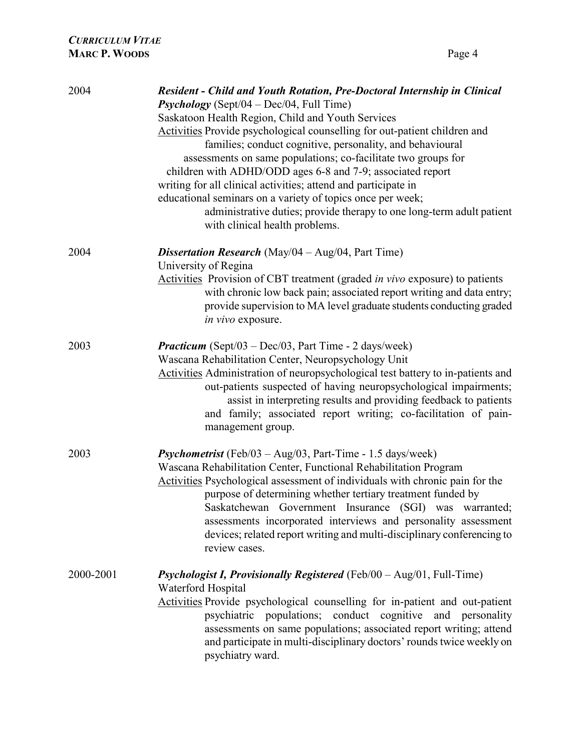| 2004      | <b>Resident - Child and Youth Rotation, Pre-Doctoral Internship in Clinical</b><br><b>Psychology</b> (Sept/04 – Dec/04, Full Time)                                                                                                                                                                                                                                                                                                                                                                               |
|-----------|------------------------------------------------------------------------------------------------------------------------------------------------------------------------------------------------------------------------------------------------------------------------------------------------------------------------------------------------------------------------------------------------------------------------------------------------------------------------------------------------------------------|
|           | Saskatoon Health Region, Child and Youth Services                                                                                                                                                                                                                                                                                                                                                                                                                                                                |
|           | Activities Provide psychological counselling for out-patient children and<br>families; conduct cognitive, personality, and behavioural<br>assessments on same populations; co-facilitate two groups for<br>children with ADHD/ODD ages 6-8 and 7-9; associated report<br>writing for all clinical activities; attend and participate in<br>educational seminars on a variety of topics once per week;<br>administrative duties; provide therapy to one long-term adult patient<br>with clinical health problems. |
| 2004      | <b>Dissertation Research</b> (May/04 $-$ Aug/04, Part Time)<br>University of Regina                                                                                                                                                                                                                                                                                                                                                                                                                              |
|           | Activities Provision of CBT treatment (graded <i>in vivo</i> exposure) to patients<br>with chronic low back pain; associated report writing and data entry;<br>provide supervision to MA level graduate students conducting graded<br>in vivo exposure.                                                                                                                                                                                                                                                          |
| 2003      | <b>Practicum</b> (Sept/03 – Dec/03, Part Time - 2 days/week)<br>Wascana Rehabilitation Center, Neuropsychology Unit<br>Activities Administration of neuropsychological test battery to in-patients and<br>out-patients suspected of having neuropsychological impairments;<br>assist in interpreting results and providing feedback to patients<br>and family; associated report writing; co-facilitation of pain-<br>management group.                                                                          |
| 2003      | Psychometrist (Feb/03 - Aug/03, Part-Time - 1.5 days/week)<br>Wascana Rehabilitation Center, Functional Rehabilitation Program<br>Activities Psychological assessment of individuals with chronic pain for the<br>purpose of determining whether tertiary treatment funded by<br>Saskatchewan Government Insurance (SGI) was warranted;<br>assessments incorporated interviews and personality assessment<br>devices; related report writing and multi-disciplinary conferencing to<br>review cases.             |
| 2000-2001 | <b>Psychologist I, Provisionally Registered</b> (Feb/00 $-$ Aug/01, Full-Time)<br>Waterford Hospital                                                                                                                                                                                                                                                                                                                                                                                                             |
|           | Activities Provide psychological counselling for in-patient and out-patient<br>conduct cognitive and personality<br>psychiatric populations;<br>assessments on same populations; associated report writing; attend<br>and participate in multi-disciplinary doctors' rounds twice weekly on<br>psychiatry ward.                                                                                                                                                                                                  |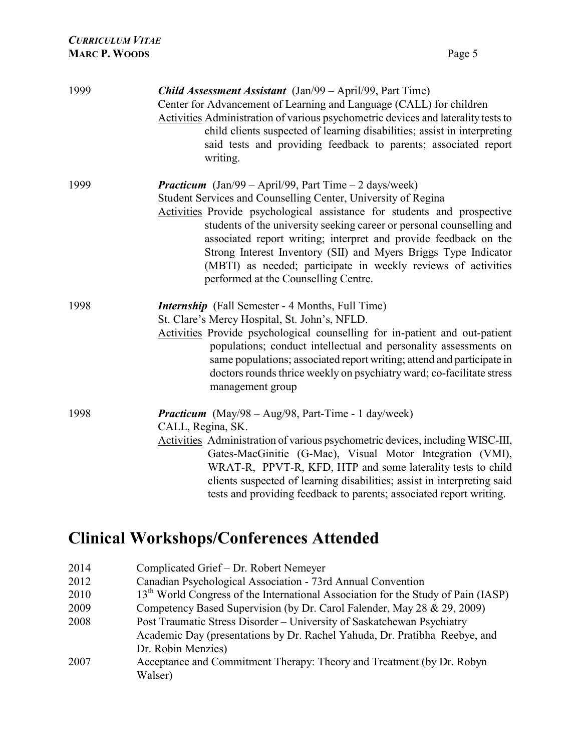| 1999 | <b>Child Assessment Assistant</b> (Jan/99 – April/99, Part Time)<br>Center for Advancement of Learning and Language (CALL) for children<br>Activities Administration of various psychometric devices and laterality tests to<br>child clients suspected of learning disabilities; assist in interpreting<br>said tests and providing feedback to parents; associated report<br>writing.                                                                                                                                             |
|------|-------------------------------------------------------------------------------------------------------------------------------------------------------------------------------------------------------------------------------------------------------------------------------------------------------------------------------------------------------------------------------------------------------------------------------------------------------------------------------------------------------------------------------------|
| 1999 | <b>Practicum</b> (Jan/99 – April/99, Part Time – 2 days/week)<br>Student Services and Counselling Center, University of Regina<br>Activities Provide psychological assistance for students and prospective<br>students of the university seeking career or personal counselling and<br>associated report writing; interpret and provide feedback on the<br>Strong Interest Inventory (SII) and Myers Briggs Type Indicator<br>(MBTI) as needed; participate in weekly reviews of activities<br>performed at the Counselling Centre. |
| 1998 | <i>Internship</i> (Fall Semester - 4 Months, Full Time)<br>St. Clare's Mercy Hospital, St. John's, NFLD.<br>Activities Provide psychological counselling for in-patient and out-patient<br>populations; conduct intellectual and personality assessments on<br>same populations; associated report writing; attend and participate in<br>doctors rounds thrice weekly on psychiatry ward; co-facilitate stress<br>management group                                                                                                  |
| 1998 | <b>Practicum</b> (May/98 - Aug/98, Part-Time - 1 day/week)<br>CALL, Regina, SK.<br>Activities Administration of various psychometric devices, including WISC-III,<br>Gates-MacGinitie (G-Mac), Visual Motor Integration (VMI),<br>WRAT-R, PPVT-R, KFD, HTP and some laterality tests to child<br>clients suspected of learning disabilities; assist in interpreting said<br>tests and providing feedback to parents; associated report writing.                                                                                     |

# Clinical Workshops/Conferences Attended

| 2014 | Complicated Grief – Dr. Robert Nemeyer                                                        |
|------|-----------------------------------------------------------------------------------------------|
| 2012 | Canadian Psychological Association - 73rd Annual Convention                                   |
| 2010 | 13 <sup>th</sup> World Congress of the International Association for the Study of Pain (IASP) |
| 2009 | Competency Based Supervision (by Dr. Carol Falender, May 28 & 29, 2009)                       |
| 2008 | Post Traumatic Stress Disorder - University of Saskatchewan Psychiatry                        |
|      | Academic Day (presentations by Dr. Rachel Yahuda, Dr. Pratibha Reebye, and                    |
|      | Dr. Robin Menzies)                                                                            |
| 2007 | Acceptance and Commitment Therapy: Theory and Treatment (by Dr. Robyn                         |
|      | Walser)                                                                                       |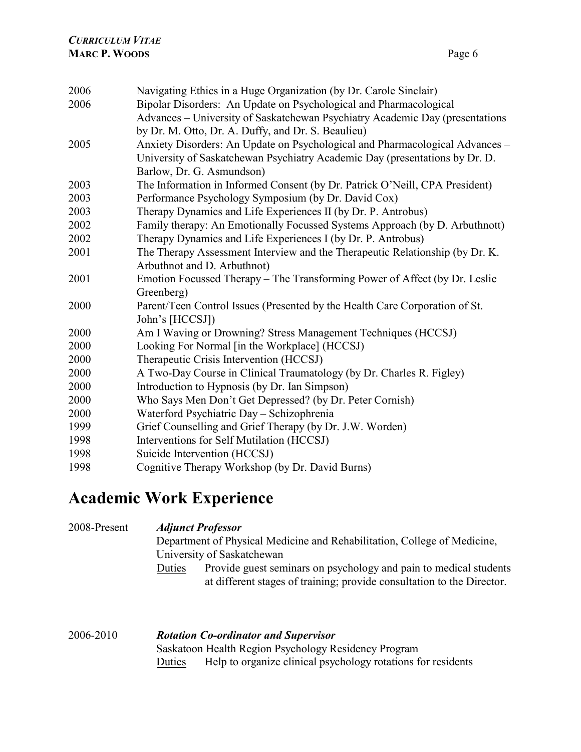| 2006 | Navigating Ethics in a Huge Organization (by Dr. Carole Sinclair)            |
|------|------------------------------------------------------------------------------|
| 2006 | Bipolar Disorders: An Update on Psychological and Pharmacological            |
|      | Advances – University of Saskatchewan Psychiatry Academic Day (presentations |
|      | by Dr. M. Otto, Dr. A. Duffy, and Dr. S. Beaulieu)                           |
| 2005 | Anxiety Disorders: An Update on Psychological and Pharmacological Advances - |
|      | University of Saskatchewan Psychiatry Academic Day (presentations by Dr. D.  |
|      | Barlow, Dr. G. Asmundson)                                                    |
| 2003 | The Information in Informed Consent (by Dr. Patrick O'Neill, CPA President)  |
| 2003 | Performance Psychology Symposium (by Dr. David Cox)                          |
| 2003 | Therapy Dynamics and Life Experiences II (by Dr. P. Antrobus)                |
| 2002 | Family therapy: An Emotionally Focussed Systems Approach (by D. Arbuthnott)  |
| 2002 | Therapy Dynamics and Life Experiences I (by Dr. P. Antrobus)                 |
| 2001 | The Therapy Assessment Interview and the Therapeutic Relationship (by Dr. K. |
|      | Arbuthnot and D. Arbuthnot)                                                  |
| 2001 | Emotion Focussed Therapy - The Transforming Power of Affect (by Dr. Leslie   |
|      | Greenberg)                                                                   |
| 2000 | Parent/Teen Control Issues (Presented by the Health Care Corporation of St.  |
|      | John's [HCCSJ])                                                              |
| 2000 | Am I Waving or Drowning? Stress Management Techniques (HCCSJ)                |
| 2000 | Looking For Normal [in the Workplace] (HCCSJ)                                |
| 2000 | Therapeutic Crisis Intervention (HCCSJ)                                      |
| 2000 | A Two-Day Course in Clinical Traumatology (by Dr. Charles R. Figley)         |
| 2000 | Introduction to Hypnosis (by Dr. Ian Simpson)                                |
| 2000 | Who Says Men Don't Get Depressed? (by Dr. Peter Cornish)                     |
| 2000 | Waterford Psychiatric Day - Schizophrenia                                    |
| 1999 | Grief Counselling and Grief Therapy (by Dr. J.W. Worden)                     |
| 1998 | Interventions for Self Mutilation (HCCSJ)                                    |
| 1998 | Suicide Intervention (HCCSJ)                                                 |
| 1998 | Cognitive Therapy Workshop (by Dr. David Burns)                              |

## Academic Work Experience

| 2008-Present | <b>Adjunct Professor</b><br>Department of Physical Medicine and Rehabilitation, College of Medicine,<br>University of Saskatchewan                                            |
|--------------|-------------------------------------------------------------------------------------------------------------------------------------------------------------------------------|
|              | Provide guest seminars on psychology and pain to medical students<br>Duties<br>at different stages of training; provide consultation to the Director.                         |
| 2006-2010    | <b>Rotation Co-ordinator and Supervisor</b><br>Saskatoon Health Region Psychology Residency Program<br>Help to organize clinical psychology rotations for residents<br>Duties |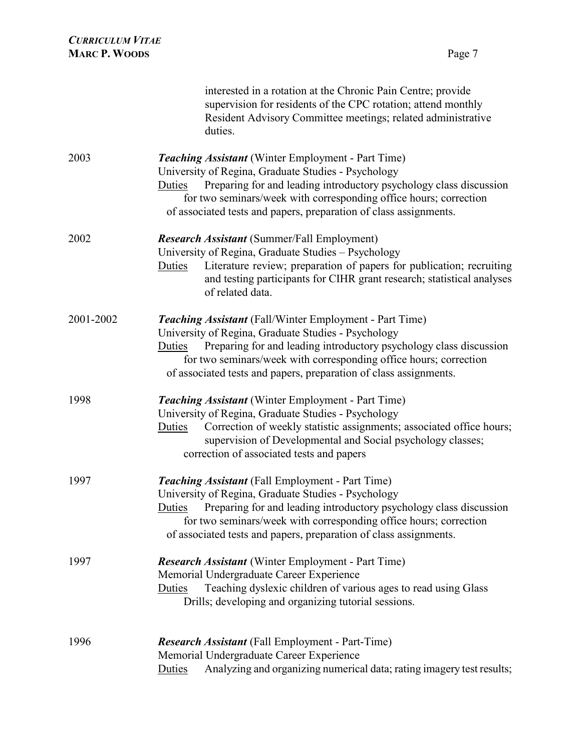| <b>CURRICULUM VITAE</b><br><b>MARC P. WOODS</b> | Page 7                                                                                                                                                                                                                                                                                                                                          |
|-------------------------------------------------|-------------------------------------------------------------------------------------------------------------------------------------------------------------------------------------------------------------------------------------------------------------------------------------------------------------------------------------------------|
|                                                 | interested in a rotation at the Chronic Pain Centre; provide<br>supervision for residents of the CPC rotation; attend monthly<br>Resident Advisory Committee meetings; related administrative<br>duties.                                                                                                                                        |
| 2003                                            | <b>Teaching Assistant</b> (Winter Employment - Part Time)<br>University of Regina, Graduate Studies - Psychology<br>Preparing for and leading introductory psychology class discussion<br>Duties<br>for two seminars/week with corresponding office hours; correction<br>of associated tests and papers, preparation of class assignments.      |
| 2002                                            | <b>Research Assistant</b> (Summer/Fall Employment)<br>University of Regina, Graduate Studies - Psychology<br>Literature review; preparation of papers for publication; recruiting<br>Duties<br>and testing participants for CIHR grant research; statistical analyses<br>of related data.                                                       |
| 2001-2002                                       | <b>Teaching Assistant</b> (Fall/Winter Employment - Part Time)<br>University of Regina, Graduate Studies - Psychology<br>Preparing for and leading introductory psychology class discussion<br>Duties<br>for two seminars/week with corresponding office hours; correction<br>of associated tests and papers, preparation of class assignments. |
| 1998                                            | <b>Teaching Assistant</b> (Winter Employment - Part Time)<br>University of Regina, Graduate Studies - Psychology<br>Correction of weekly statistic assignments; associated office hours;<br>Duties<br>supervision of Developmental and Social psychology classes;<br>correction of associated tests and papers                                  |
| 1997                                            | Teaching Assistant (Fall Employment - Part Time)<br>University of Regina, Graduate Studies - Psychology<br>Preparing for and leading introductory psychology class discussion<br>Duties<br>for two seminars/week with corresponding office hours; correction<br>of associated tests and papers, preparation of class assignments.               |
| 1997                                            | <b>Research Assistant</b> (Winter Employment - Part Time)<br>Memorial Undergraduate Career Experience<br>Teaching dyslexic children of various ages to read using Glass<br>Duties<br>Drills; developing and organizing tutorial sessions.                                                                                                       |
| 1996                                            | <b>Research Assistant</b> (Fall Employment - Part-Time)<br>Memorial Undergraduate Career Experience<br>Analyzing and organizing numerical data; rating imagery test results;<br>Duties                                                                                                                                                          |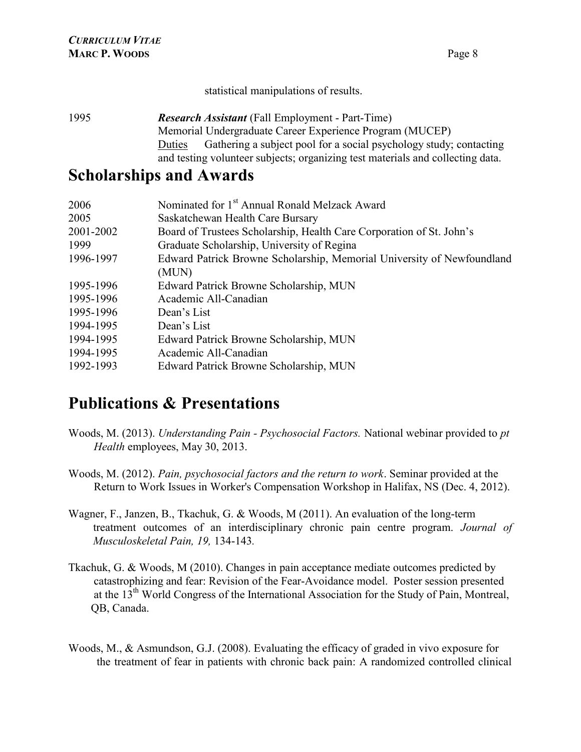statistical manipulations of results.

1995 Research Assistant (Fall Employment - Part-Time) Memorial Undergraduate Career Experience Program (MUCEP) Duties Gathering a subject pool for a social psychology study; contacting and testing volunteer subjects; organizing test materials and collecting data.

#### Scholarships and Awards

| Nominated for 1 <sup>st</sup> Annual Ronald Melzack Award              |
|------------------------------------------------------------------------|
| Saskatchewan Health Care Bursary                                       |
| Board of Trustees Scholarship, Health Care Corporation of St. John's   |
| Graduate Scholarship, University of Regina                             |
| Edward Patrick Browne Scholarship, Memorial University of Newfoundland |
| (MUN)                                                                  |
| Edward Patrick Browne Scholarship, MUN                                 |
| Academic All-Canadian                                                  |
| Dean's List                                                            |
| Dean's List                                                            |
| Edward Patrick Browne Scholarship, MUN                                 |
| Academic All-Canadian                                                  |
| Edward Patrick Browne Scholarship, MUN                                 |
|                                                                        |

#### Publications & Presentations

- Woods, M. (2013). Understanding Pain Psychosocial Factors. National webinar provided to pt Health employees, May 30, 2013.
- Woods, M. (2012). Pain, psychosocial factors and the return to work. Seminar provided at the Return to Work Issues in Worker's Compensation Workshop in Halifax, NS (Dec. 4, 2012).
- Wagner, F., Janzen, B., Tkachuk, G. & Woods, M (2011). An evaluation of the long-term treatment outcomes of an interdisciplinary chronic pain centre program. Journal of Musculoskeletal Pain, 19, 134-143.
- Tkachuk, G. & Woods, M (2010). Changes in pain acceptance mediate outcomes predicted by catastrophizing and fear: Revision of the Fear-Avoidance model. Poster session presented at the 13<sup>th</sup> World Congress of the International Association for the Study of Pain, Montreal, QB, Canada.
- Woods, M., & Asmundson, G.J. (2008). Evaluating the efficacy of graded in vivo exposure for the treatment of fear in patients with chronic back pain: A randomized controlled clinical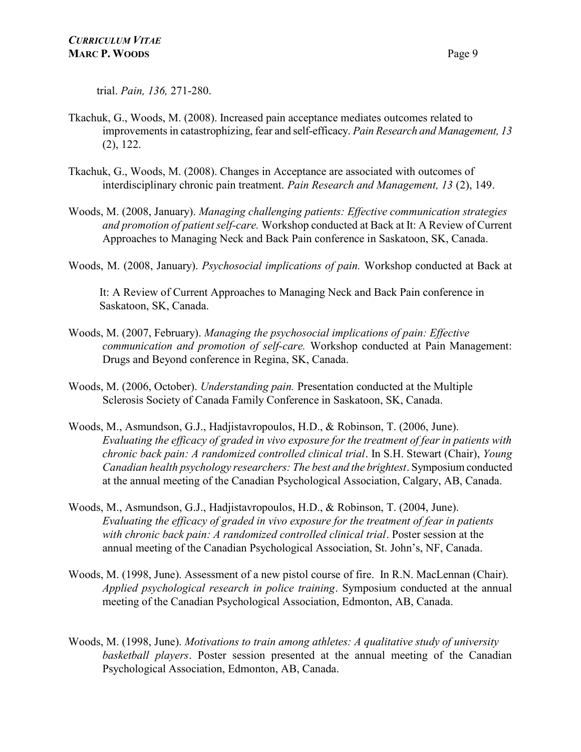trial. Pain, 136, 271-280.

- Tkachuk, G., Woods, M. (2008). Increased pain acceptance mediates outcomes related to improvements in catastrophizing, fear and self-efficacy. Pain Research and Management, 13 (2), 122.
- Tkachuk, G., Woods, M. (2008). Changes in Acceptance are associated with outcomes of interdisciplinary chronic pain treatment. Pain Research and Management, 13 (2), 149.
- Woods, M. (2008, January). Managing challenging patients: Effective communication strategies and promotion of patient self-care. Workshop conducted at Back at It: A Review of Current Approaches to Managing Neck and Back Pain conference in Saskatoon, SK, Canada.
- Woods, M. (2008, January). Psychosocial implications of pain. Workshop conducted at Back at

 It: A Review of Current Approaches to Managing Neck and Back Pain conference in Saskatoon, SK, Canada.

- Woods, M. (2007, February). Managing the psychosocial implications of pain: Effective communication and promotion of self-care. Workshop conducted at Pain Management: Drugs and Beyond conference in Regina, SK, Canada.
- Woods, M. (2006, October). Understanding pain. Presentation conducted at the Multiple Sclerosis Society of Canada Family Conference in Saskatoon, SK, Canada.
- Woods, M., Asmundson, G.J., Hadjistavropoulos, H.D., & Robinson, T. (2006, June). Evaluating the efficacy of graded in vivo exposure for the treatment of fear in patients with chronic back pain: A randomized controlled clinical trial. In S.H. Stewart (Chair), Young Canadian health psychology researchers: The best and the brightest. Symposium conducted at the annual meeting of the Canadian Psychological Association, Calgary, AB, Canada.
- Woods, M., Asmundson, G.J., Hadjistavropoulos, H.D., & Robinson, T. (2004, June). Evaluating the efficacy of graded in vivo exposure for the treatment of fear in patients with chronic back pain: A randomized controlled clinical trial. Poster session at the annual meeting of the Canadian Psychological Association, St. John's, NF, Canada.
- Woods, M. (1998, June). Assessment of a new pistol course of fire. In R.N. MacLennan (Chair). Applied psychological research in police training. Symposium conducted at the annual meeting of the Canadian Psychological Association, Edmonton, AB, Canada.
- Woods, M. (1998, June). Motivations to train among athletes: A qualitative study of university basketball players. Poster session presented at the annual meeting of the Canadian Psychological Association, Edmonton, AB, Canada.